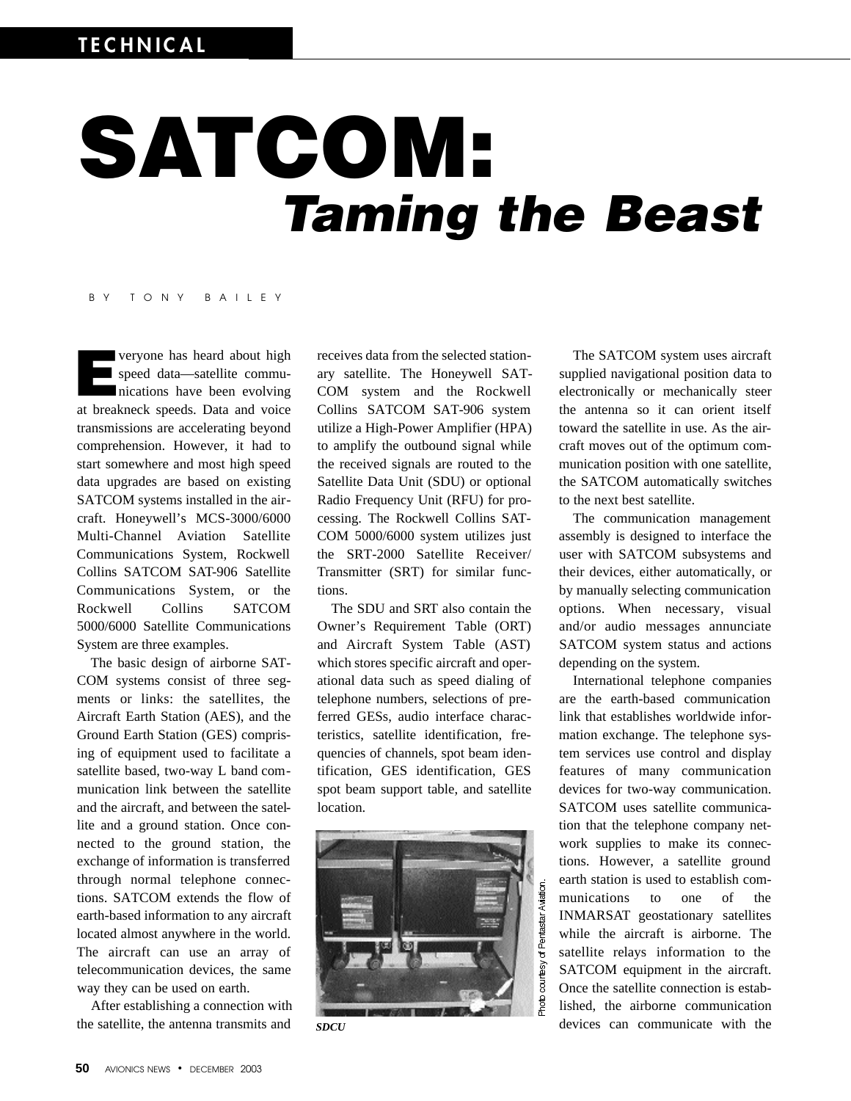# SATCOM: *Taming the Beast*

#### B Y T O N Y B A I L E Y

**Example 12** veryone has heard about high<br>speed data—satellite communications have been evolving<br>at breakneck speeds. Data and voice veryone has heard about high speed data—satellite communications have been evolving transmissions are accelerating beyond comprehension. However, it had to start somewhere and most high speed data upgrades are based on existing SATCOM systems installed in the aircraft. Honeywell's MCS-3000/6000 Multi-Channel Aviation Satellite Communications System, Rockwell Collins SATCOM SAT-906 Satellite Communications System, or the Rockwell Collins SATCOM 5000/6000 Satellite Communications System are three examples.

The basic design of airborne SAT-COM systems consist of three segments or links: the satellites, the Aircraft Earth Station (AES), and the Ground Earth Station (GES) comprising of equipment used to facilitate a satellite based, two-way L band communication link between the satellite and the aircraft, and between the satellite and a ground station. Once connected to the ground station, the exchange of information is transferred through normal telephone connections. SATCOM extends the flow of earth-based information to any aircraft located almost anywhere in the world. The aircraft can use an array of telecommunication devices, the same way they can be used on earth.

After establishing a connection with the satellite, the antenna transmits and

receives data from the selected stationary satellite. The Honeywell SAT-COM system and the Rockwell Collins SATCOM SAT-906 system utilize a High-Power Amplifier (HPA) to amplify the outbound signal while the received signals are routed to the Satellite Data Unit (SDU) or optional Radio Frequency Unit (RFU) for processing. The Rockwell Collins SAT-COM 5000/6000 system utilizes just the SRT-2000 Satellite Receiver/ Transmitter (SRT) for similar functions.

The SDU and SRT also contain the Owner's Requirement Table (ORT) and Aircraft System Table (AST) which stores specific aircraft and operational data such as speed dialing of telephone numbers, selections of preferred GESs, audio interface characteristics, satellite identification, frequencies of channels, spot beam identification, GES identification, GES spot beam support table, and satellite location.



*SDCU*

The SATCOM system uses aircraft supplied navigational position data to electronically or mechanically steer the antenna so it can orient itself toward the satellite in use. As the aircraft moves out of the optimum communication position with one satellite, the SATCOM automatically switches to the next best satellite.

The communication management assembly is designed to interface the user with SATCOM subsystems and their devices, either automatically, or by manually selecting communication options. When necessary, visual and/or audio messages annunciate SATCOM system status and actions depending on the system.

International telephone companies are the earth-based communication link that establishes worldwide information exchange. The telephone system services use control and display features of many communication devices for two-way communication. SATCOM uses satellite communication that the telephone company network supplies to make its connections. However, a satellite ground earth station is used to establish communications to one of the INMARSAT geostationary satellites while the aircraft is airborne. The satellite relays information to the SATCOM equipment in the aircraft. Once the satellite connection is established, the airborne communication devices can communicate with the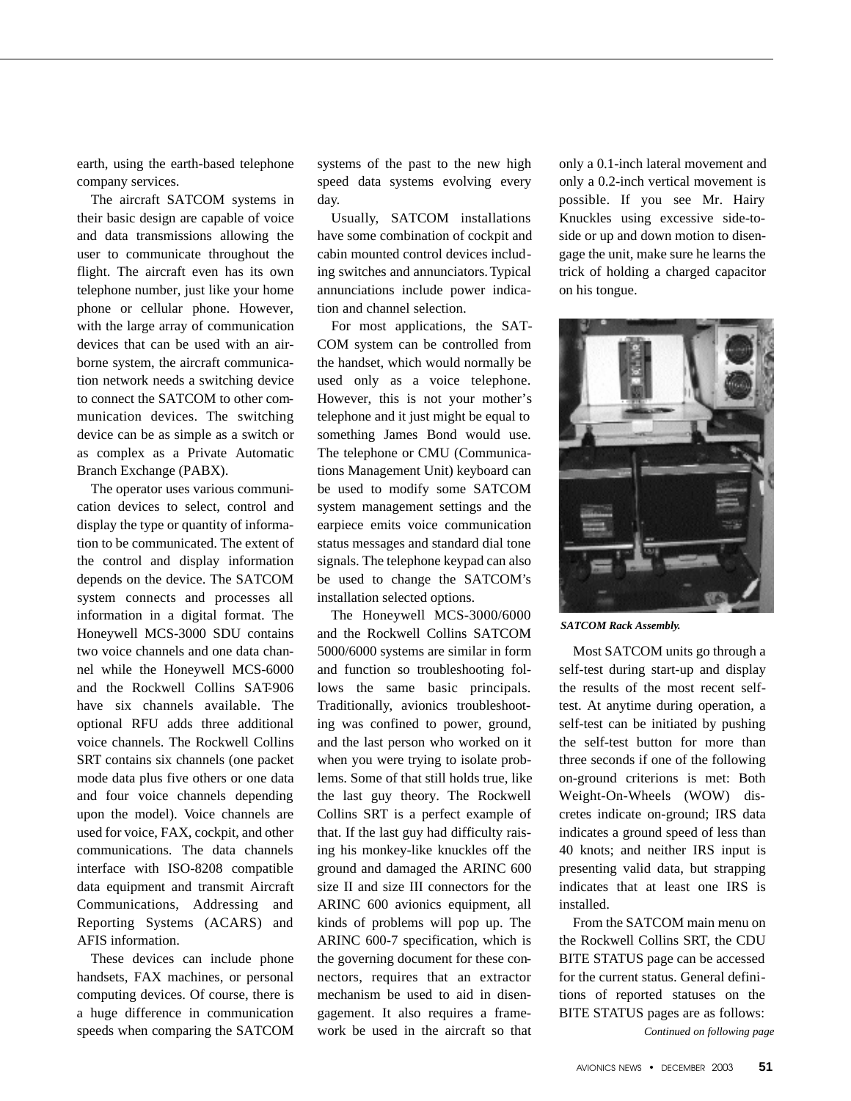earth, using the earth-based telephone company services.

The aircraft SATCOM systems in their basic design are capable of voice and data transmissions allowing the user to communicate throughout the flight. The aircraft even has its own telephone number, just like your home phone or cellular phone. However, with the large array of communication devices that can be used with an airborne system, the aircraft communication network needs a switching device to connect the SATCOM to other communication devices. The switching device can be as simple as a switch or as complex as a Private Automatic Branch Exchange (PABX).

The operator uses various communication devices to select, control and display the type or quantity of information to be communicated. The extent of the control and display information depends on the device. The SATCOM system connects and processes all information in a digital format. The Honeywell MCS-3000 SDU contains two voice channels and one data channel while the Honeywell MCS-6000 and the Rockwell Collins SAT-906 have six channels available. The optional RFU adds three additional voice channels. The Rockwell Collins SRT contains six channels (one packet mode data plus five others or one data and four voice channels depending upon the model). Voice channels are used for voice, FAX, cockpit, and other communications. The data channels interface with ISO-8208 compatible data equipment and transmit Aircraft Communications, Addressing and Reporting Systems (ACARS) and AFIS information.

These devices can include phone handsets, FAX machines, or personal computing devices. Of course, there is a huge difference in communication speeds when comparing the SATCOM

systems of the past to the new high speed data systems evolving every day.

Usually, SATCOM installations have some combination of cockpit and cabin mounted control devices including switches and annunciators. Typical annunciations include power indication and channel selection.

For most applications, the SAT-COM system can be controlled from the handset, which would normally be used only as a voice telephone. However, this is not your mother's telephone and it just might be equal to something James Bond would use. The telephone or CMU (Communications Management Unit) keyboard can be used to modify some SATCOM system management settings and the earpiece emits voice communication status messages and standard dial tone signals. The telephone keypad can also be used to change the SATCOM's installation selected options.

The Honeywell MCS-3000/6000 and the Rockwell Collins SATCOM 5000/6000 systems are similar in form and function so troubleshooting follows the same basic principals. Traditionally, avionics troubleshooting was confined to power, ground, and the last person who worked on it when you were trying to isolate problems. Some of that still holds true, like the last guy theory. The Rockwell Collins SRT is a perfect example of that. If the last guy had difficulty raising his monkey-like knuckles off the ground and damaged the ARINC 600 size II and size III connectors for the ARINC 600 avionics equipment, all kinds of problems will pop up. The ARINC 600-7 specification, which is the governing document for these connectors, requires that an extractor mechanism be used to aid in disengagement. It also requires a framework be used in the aircraft so that only a 0.1-inch lateral movement and only a 0.2-inch vertical movement is possible. If you see Mr. Hairy Knuckles using excessive side-toside or up and down motion to disengage the unit, make sure he learns the trick of holding a charged capacitor on his tongue.



*SATCOM Rack Assembly.*

Most SATCOM units go through a self-test during start-up and display the results of the most recent selftest. At anytime during operation, a self-test can be initiated by pushing the self-test button for more than three seconds if one of the following on-ground criterions is met: Both Weight-On-Wheels (WOW) discretes indicate on-ground; IRS data indicates a ground speed of less than 40 knots; and neither IRS input is presenting valid data, but strapping indicates that at least one IRS is installed.

From the SATCOM main menu on the Rockwell Collins SRT, the CDU BITE STATUS page can be accessed for the current status. General definitions of reported statuses on the BITE STATUS pages are as follows:

*Continued on following page*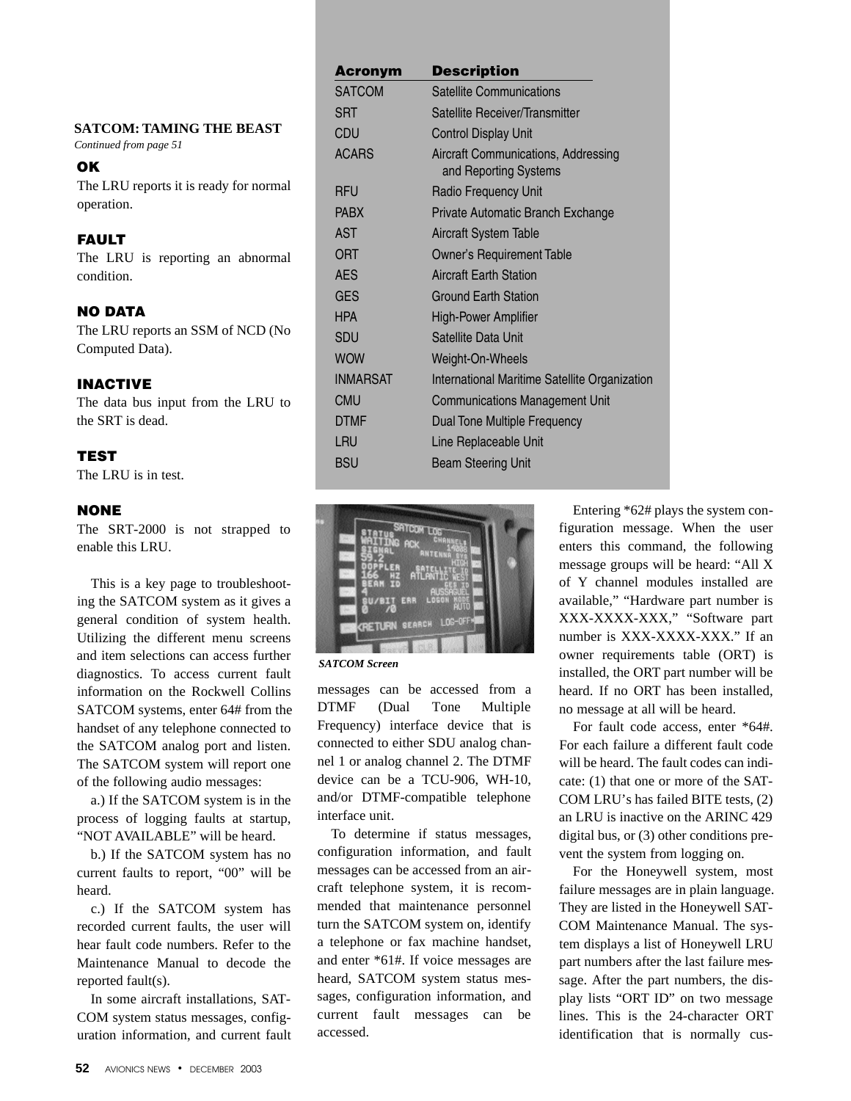**SATCOM: TAMING THE BEAST**

*Continued from page 51*

#### **OK**

The LRU reports it is ready for normal operation.

# FAULT

The LRU is reporting an abnormal condition.

# NO DATA

The LRU reports an SSM of NCD (No Computed Data).

# INACTIVE

The data bus input from the LRU to the SRT is dead.

# **TEST**

The LRU is in test.

# NONE

The SRT-2000 is not strapped to enable this LRU.

This is a key page to troubleshooting the SATCOM system as it gives a general condition of system health. Utilizing the different menu screens and item selections can access further diagnostics. To access current fault information on the Rockwell Collins SATCOM systems, enter 64# from the handset of any telephone connected to the SATCOM analog port and listen. The SATCOM system will report one of the following audio messages:

a.) If the SATCOM system is in the process of logging faults at startup, "NOT AVAILABLE" will be heard.

b.) If the SATCOM system has no current faults to report, "00" will be heard.

c.) If the SATCOM system has recorded current faults, the user will hear fault code numbers. Refer to the Maintenance Manual to decode the reported fault(s).

In some aircraft installations, SAT-COM system status messages, configuration information, and current fault

| <b>Acronym</b>  | <b>Description</b>                                           |
|-----------------|--------------------------------------------------------------|
| <b>SATCOM</b>   | <b>Satellite Communications</b>                              |
| <b>SRT</b>      | Satellite Receiver/Transmitter                               |
| CDU             | <b>Control Display Unit</b>                                  |
| <b>ACARS</b>    | Aircraft Communications, Addressing<br>and Reporting Systems |
| <b>RFU</b>      | Radio Frequency Unit                                         |
| <b>PABX</b>     | Private Automatic Branch Exchange                            |
| AST             | Aircraft System Table                                        |
| ORT             | <b>Owner's Requirement Table</b>                             |
| <b>AES</b>      | <b>Aircraft Earth Station</b>                                |
| <b>GES</b>      | Ground Earth Station                                         |
| <b>HPA</b>      | <b>High-Power Amplifier</b>                                  |
| <b>SDU</b>      | Satellite Data Unit                                          |
| <b>WOW</b>      | Weight-On-Wheels                                             |
| <b>INMARSAT</b> | International Maritime Satellite Organization                |
| <b>CMU</b>      | <b>Communications Management Unit</b>                        |
| <b>DTMF</b>     | Dual Tone Multiple Frequency                                 |
| LRU             | Line Replaceable Unit                                        |
| <b>BSU</b>      | <b>Beam Steering Unit</b>                                    |



*SATCOM Screen*

messages can be accessed from a DTMF (Dual Tone Multiple Frequency) interface device that is connected to either SDU analog channel 1 or analog channel 2. The DTMF device can be a TCU-906, WH-10, and/or DTMF-compatible telephone interface unit.

To determine if status messages, configuration information, and fault messages can be accessed from an aircraft telephone system, it is recommended that maintenance personnel turn the SATCOM system on, identify a telephone or fax machine handset, and enter \*61#. If voice messages are heard, SATCOM system status messages, configuration information, and current fault messages can be accessed.

Entering \*62# plays the system configuration message. When the user enters this command, the following message groups will be heard: "All X of Y channel modules installed are available," "Hardware part number is XXX-XXXX-XXX," "Software part number is XXX-XXXX-XXX." If an owner requirements table (ORT) is installed, the ORT part number will be heard. If no ORT has been installed, no message at all will be heard.

For fault code access, enter \*64#. For each failure a different fault code will be heard. The fault codes can indicate: (1) that one or more of the SAT-COM LRU's has failed BITE tests, (2) an LRU is inactive on the ARINC 429 digital bus, or (3) other conditions prevent the system from logging on.

For the Honeywell system, most failure messages are in plain language. They are listed in the Honeywell SAT-COM Maintenance Manual. The system displays a list of Honeywell LRU part numbers after the last failure message. After the part numbers, the display lists "ORT ID" on two message lines. This is the 24-character ORT identification that is normally cus